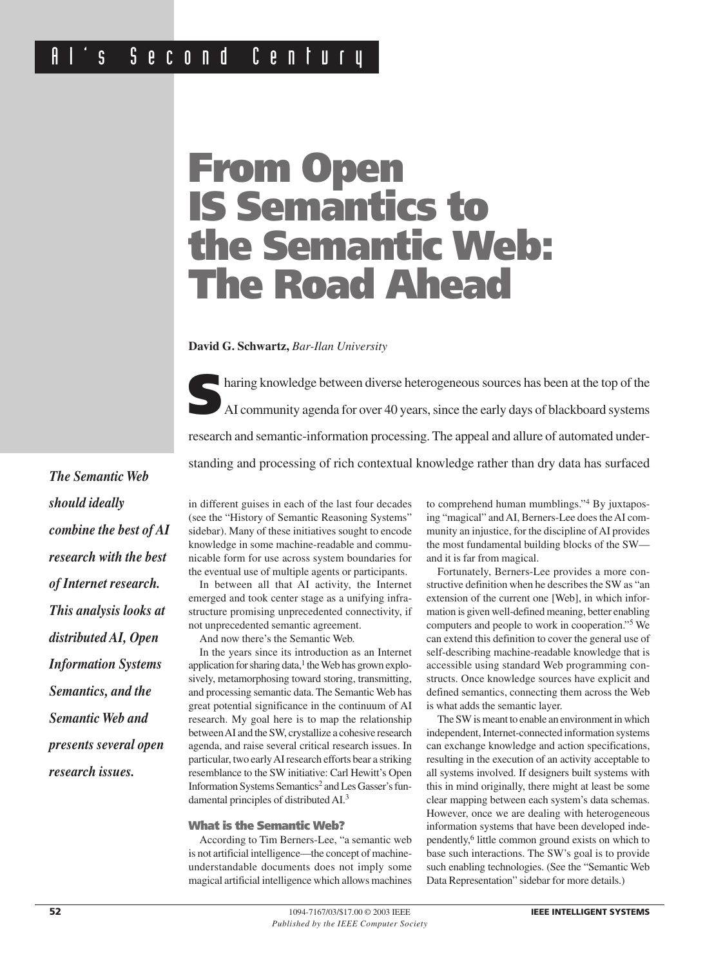# s Second Century

# **From Open IS Semantics to the Semantic Web: The Road Ahead**

**David G. Schwartz,** *Bar-Ilan University*

**S**haring knowledge between diverse heterogeneous sources has been at the top of the AI community agenda for over 40 years, since the early days of blackboard systems research and semantic-information processing. The appeal and allure of automated understanding and processing of rich contextual knowledge rather than dry data has surfaced

*The Semantic Web should ideally combine the best of AI research with the best of Internet research. This analysis looks at distributed AI, Open Information Systems Semantics, and the Semantic Web and presents several open research issues.*

in different guises in each of the last four decades (see the "History of Semantic Reasoning Systems" sidebar). Many of these initiatives sought to encode knowledge in some machine-readable and communicable form for use across system boundaries for the eventual use of multiple agents or participants.

In between all that AI activity, the Internet emerged and took center stage as a unifying infrastructure promising unprecedented connectivity, if not unprecedented semantic agreement.

And now there's the Semantic Web.

In the years since its introduction as an Internet application for sharing data, $<sup>1</sup>$  the Web has grown explo-</sup> sively, metamorphosing toward storing, transmitting, and processing semantic data. The Semantic Web has great potential significance in the continuum of AI research. My goal here is to map the relationship between AI and the SW, crystallize a cohesive research agenda, and raise several critical research issues. In particular, two early AI research efforts bear a striking resemblance to the SW initiative: Carl Hewitt's Open Information Systems Semantics<sup>2</sup> and Les Gasser's fundamental principles of distributed AI.3

#### **What is the Semantic Web?**

According to Tim Berners-Lee, "a semantic web is not artificial intelligence—the concept of machineunderstandable documents does not imply some magical artificial intelligence which allows machines to comprehend human mumblings."<sup>4</sup> By juxtaposing "magical" and AI, Berners-Lee does the AI community an injustice, for the discipline of AI provides the most fundamental building blocks of the SW and it is far from magical.

Fortunately, Berners-Lee provides a more constructive definition when he describes the SW as "an extension of the current one [Web], in which information is given well-defined meaning, better enabling computers and people to work in cooperation."5 We can extend this definition to cover the general use of self-describing machine-readable knowledge that is accessible using standard Web programming constructs. Once knowledge sources have explicit and defined semantics, connecting them across the Web is what adds the semantic layer.

The SW is meant to enable an environment in which independent, Internet-connected information systems can exchange knowledge and action specifications, resulting in the execution of an activity acceptable to all systems involved. If designers built systems with this in mind originally, there might at least be some clear mapping between each system's data schemas. However, once we are dealing with heterogeneous information systems that have been developed independently,6 little common ground exists on which to base such interactions. The SW's goal is to provide such enabling technologies. (See the "Semantic Web Data Representation" sidebar for more details.)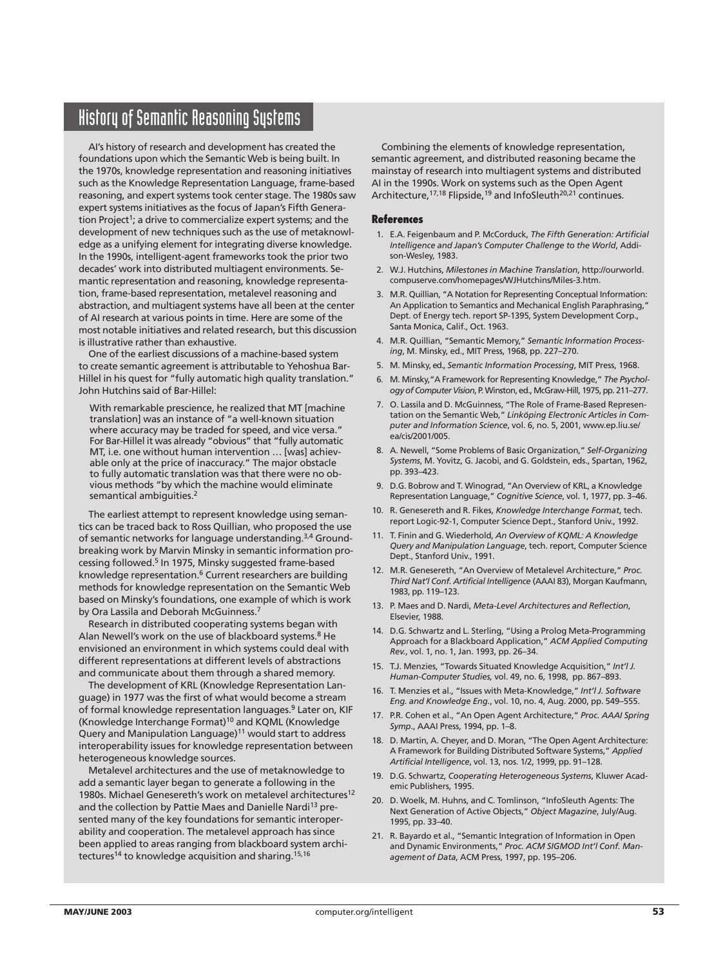## History of Semantic Reasoning Systems

AI's history of research and development has created the foundations upon which the Semantic Web is being built. In the 1970s, knowledge representation and reasoning initiatives such as the Knowledge Representation Language, frame-based reasoning, and expert systems took center stage. The 1980s saw expert systems initiatives as the focus of Japan's Fifth Generation Project<sup>1</sup>; a drive to commercialize expert systems; and the development of new techniques such as the use of metaknowledge as a unifying element for integrating diverse knowledge. In the 1990s, intelligent-agent frameworks took the prior two decades' work into distributed multiagent environments. Semantic representation and reasoning, knowledge representation, frame-based representation, metalevel reasoning and abstraction, and multiagent systems have all been at the center of AI research at various points in time. Here are some of the most notable initiatives and related research, but this discussion is illustrative rather than exhaustive.

One of the earliest discussions of a machine-based system to create semantic agreement is attributable to Yehoshua Bar-Hillel in his quest for "fully automatic high quality translation." John Hutchins said of Bar-Hillel:

With remarkable prescience, he realized that MT [machine translation] was an instance of "a well-known situation where accuracy may be traded for speed, and vice versa." For Bar-Hillel it was already "obvious" that "fully automatic MT, i.e. one without human intervention … [was] achievable only at the price of inaccuracy." The major obstacle to fully automatic translation was that there were no obvious methods "by which the machine would eliminate semantical ambiguities.<sup>2</sup>

The earliest attempt to represent knowledge using semantics can be traced back to Ross Quillian, who proposed the use of semantic networks for language understanding.<sup>3,4</sup> Groundbreaking work by Marvin Minsky in semantic information processing followed.<sup>5</sup> In 1975, Minsky suggested frame-based knowledge representation.<sup>6</sup> Current researchers are building methods for knowledge representation on the Semantic Web based on Minsky's foundations, one example of which is work by Ora Lassila and Deborah McGuinness.<sup>7</sup>

Research in distributed cooperating systems began with Alan Newell's work on the use of blackboard systems.<sup>8</sup> He envisioned an environment in which systems could deal with different representations at different levels of abstractions and communicate about them through a shared memory.

The development of KRL (Knowledge Representation Language) in 1977 was the first of what would become a stream of formal knowledge representation languages.<sup>9</sup> Later on, KIF (Knowledge Interchange Format)10 and KQML (Knowledge Query and Manipulation Language)<sup>11</sup> would start to address interoperability issues for knowledge representation between heterogeneous knowledge sources.

Metalevel architectures and the use of metaknowledge to add a semantic layer began to generate a following in the 1980s. Michael Genesereth's work on metalevel architectures<sup>12</sup> and the collection by Pattie Maes and Danielle Nardi<sup>13</sup> presented many of the key foundations for semantic interoperability and cooperation. The metalevel approach has since been applied to areas ranging from blackboard system architectures<sup>14</sup> to knowledge acquisition and sharing.<sup>15,16</sup>

Combining the elements of knowledge representation, semantic agreement, and distributed reasoning became the mainstay of research into multiagent systems and distributed AI in the 1990s. Work on systems such as the Open Agent Architecture, <sup>17,18</sup> Flipside, <sup>19</sup> and InfoSleuth<sup>20,21</sup> continues.

#### **References**

- 1. E.A. Feigenbaum and P. McCorduck, *The Fifth Generation: Artificial Intelligence and Japan's Computer Challenge to the World*, Addison-Wesley, 1983.
- 2. W.J. Hutchins, *Milestones in Machine Translation*, http://ourworld. compuserve.com/homepages/WJHutchins/Miles-3.htm.
- 3. M.R. Quillian, "A Notation for Representing Conceptual Information: An Application to Semantics and Mechanical English Paraphrasing," Dept. of Energy tech. report SP-1395, System Development Corp., Santa Monica, Calif., Oct. 1963.
- 4. M.R. Quillian, "Semantic Memory," *Semantic Information Processing*, M. Minsky, ed., MIT Press, 1968, pp. 227–270.
- 5. M. Minsky, ed., *Semantic Information Processing*, MIT Press, 1968.
- 6. M. Minsky,"A Framework for Representing Knowledge," *The Psychologyof Computer Vision*, P. Winston, ed., McGraw-Hill, 1975, pp. 211–277.
- 7. O. Lassila and D. McGuinness, "The Role of Frame-Based Representation on the Semantic Web," *Linköping Electronic Articles in Computer and Information Science*, vol. 6, no. 5, 2001, www.ep.liu.se/ ea/cis/2001/005.
- 8. A. Newell, "Some Problems of Basic Organization," *Self-Organizing Systems*, M. Yovitz, G. Jacobi, and G. Goldstein, eds., Spartan, 1962, pp. 393–423.
- 9. D.G. Bobrow and T. Winograd, "An Overview of KRL, a Knowledge Representation Language," *Cognitive Science*, vol. 1, 1977, pp. 3–46.
- 10. R. Genesereth and R. Fikes, *Knowledge Interchange Format*, tech. report Logic-92-1, Computer Science Dept., Stanford Univ., 1992.
- 11. T. Finin and G. Wiederhold, *An Overview of KQML: A Knowledge Query and Manipulation Language*, tech. report, Computer Science Dept., Stanford Univ., 1991.
- 12. M.R. Genesereth, "An Overview of Metalevel Architecture," *Proc. Third Nat'l Conf. Artificial Intelligence* (AAAI 83), Morgan Kaufmann, 1983, pp. 119–123.
- 13. P. Maes and D. Nardi, *Meta-Level Architectures and Reflection*, Elsevier, 1988.
- 14. D.G. Schwartz and L. Sterling, "Using a Prolog Meta-Programming Approach for a Blackboard Application," *ACM Applied Computing Rev.*, vol. 1, no. 1, Jan. 1993, pp. 26–34.
- 15. T.J. Menzies, "Towards Situated Knowledge Acquisition," *Int'l J. Human-Computer Studies,* vol. 49, no. 6, 1998, pp. 867–893.
- 16. T. Menzies et al., "Issues with Meta-Knowledge," *Int'l J. Software Eng. and Knowledge Eng.*, vol. 10, no. 4, Aug. 2000, pp. 549–555.
- 17. P.R. Cohen et al., "An Open Agent Architecture," *Proc. AAAI Spring Symp*., AAAI Press, 1994, pp. 1–8.
- 18. D. Martin, A. Cheyer, and D. Moran, "The Open Agent Architecture: A Framework for Building Distributed Software Systems," *Applied Artificial Intelligence*, vol. 13, nos. 1/2, 1999, pp. 91–128.
- 19. D.G. Schwartz, *Cooperating Heterogeneous Systems*, Kluwer Academic Publishers, 1995.
- 20. D. Woelk, M. Huhns, and C. Tomlinson, "InfoSleuth Agents: The Next Generation of Active Objects," *Object Magazine*, July/Aug. 1995, pp. 33–40.
- 21. R. Bayardo et al., "Semantic Integration of Information in Open and Dynamic Environments," *Proc. ACM SIGMOD Int'l Conf. Management of Data*, ACM Press, 1997, pp. 195–206.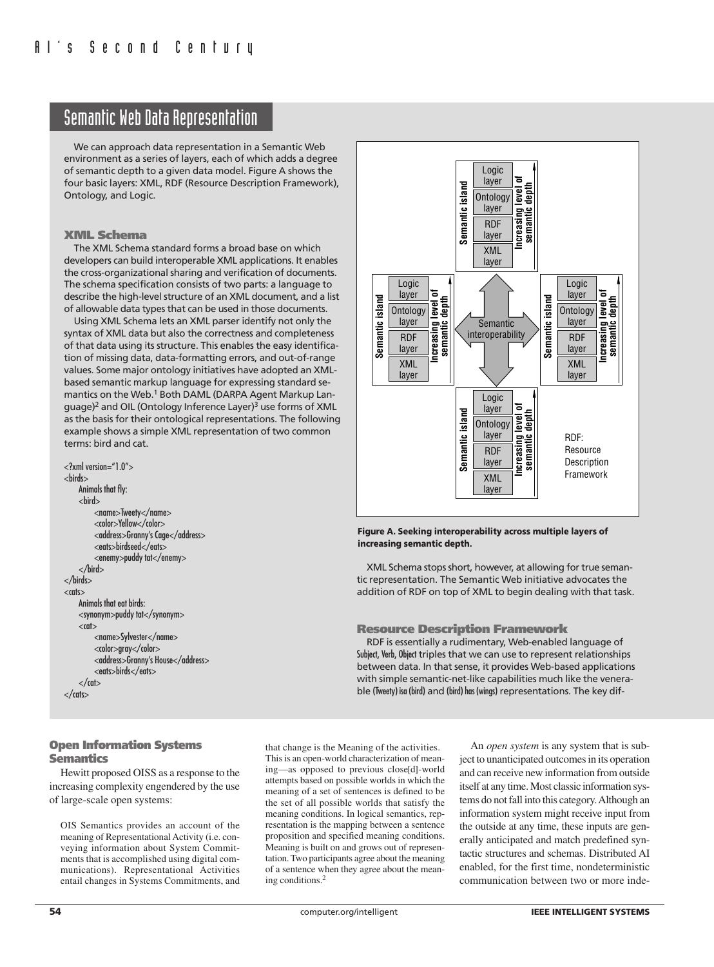## Semantic Web Data Representation

We can approach data representation in a Semantic Web environment as a series of layers, each of which adds a degree of semantic depth to a given data model. Figure A shows the four basic layers: XML, RDF (Resource Description Framework), Ontology, and Logic.

#### **XML Schema**

The XML Schema standard forms a broad base on which developers can build interoperable XML applications. It enables the cross-organizational sharing and verification of documents. The schema specification consists of two parts: a language to describe the high-level structure of an XML document, and a list of allowable data types that can be used in those documents.

Using XML Schema lets an XML parser identify not only the syntax of XML data but also the correctness and completeness of that data using its structure. This enables the easy identification of missing data, data-formatting errors, and out-of-range values. Some major ontology initiatives have adopted an XMLbased semantic markup language for expressing standard semantics on the Web.<sup>1</sup> Both DAML (DARPA Agent Markup Language)<sup>2</sup> and OIL (Ontology Inference Layer)<sup>3</sup> use forms of XML as the basis for their ontological representations. The following example shows a simple XML representation of two common terms: bird and cat.

```
<?xml version="1.0">
<birds>
    Animals that fly:
    <hird><name>Tweety</name>
         <color>Yellow</color>
         <address>Granny's Cage</address>
         <eats>birdseed</eats>
         <enemy>puddy tat</enemy>
    </bird>
</birds>
<nts>Animals that eat birds:
    <synonym>puddy tat</synonym>
    <sub>car</sub></sub>
         <name>Sylvester</name>
         <color>gray</color>
         <address>Granny's House</address>
         <eats>birds</eats>
    \langle cat\rangle</cats>
```


#### **Figure A. Seeking interoperability across multiple layers of increasing semantic depth.**

XML Schema stops short, however, at allowing for true semantic representation. The Semantic Web initiative advocates the addition of RDF on top of XML to begin dealing with that task.

#### **Resource Description Framework**

RDF is essentially a rudimentary, Web-enabled language of Subject, Verb, Object triples that we can use to represent relationships between data. In that sense, it provides Web-based applications with simple semantic-net-like capabilities much like the venerable (Tweety) isa (bird) and (bird) has (wings) representations. The key dif-

#### **Open Information Systems Semantics**

Hewitt proposed OISS as a response to the increasing complexity engendered by the use of large-scale open systems:

OIS Semantics provides an account of the meaning of Representational Activity (i.e. conveying information about System Commitments that is accomplished using digital communications). Representational Activities entail changes in Systems Commitments, and

that change is the Meaning of the activities. This is an open-world characterization of meaning—as opposed to previous close[d]-world attempts based on possible worlds in which the meaning of a set of sentences is defined to be the set of all possible worlds that satisfy the meaning conditions. In logical semantics, representation is the mapping between a sentence proposition and specified meaning conditions. Meaning is built on and grows out of representation. Two participants agree about the meaning of a sentence when they agree about the meaning conditions.2

An *open system* is any system that is subject to unanticipated outcomes in its operation and can receive new information from outside itself at any time. Most classic information systems do not fall into this category. Although an information system might receive input from the outside at any time, these inputs are generally anticipated and match predefined syntactic structures and schemas. Distributed AI enabled, for the first time, nondeterministic communication between two or more inde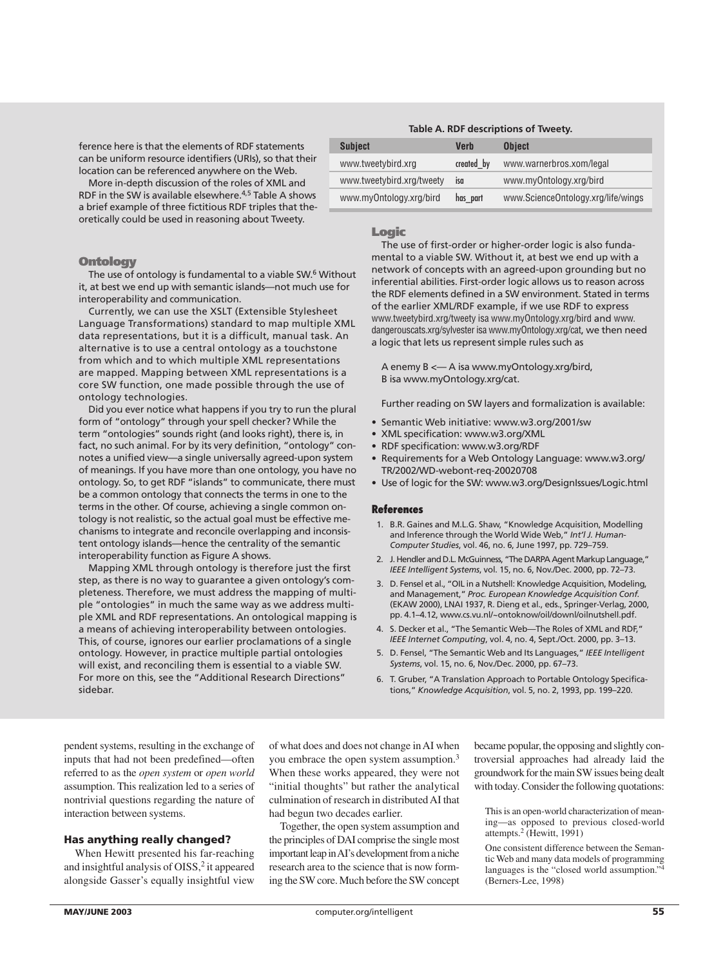ference here is that the elements of RDF statements can be uniform resource identifiers (URIs), so that their location can be referenced anywhere on the Web.

More in-depth discussion of the roles of XML and RDF in the SW is available elsewhere.4,5 Table A shows a brief example of three fictitious RDF triples that theoretically could be used in reasoning about Tweety.

#### **Ontology**

The use of ontology is fundamental to a viable SW.<sup>6</sup> Without it, at best we end up with semantic islands—not much use for interoperability and communication.

Currently, we can use the XSLT (Extensible Stylesheet Language Transformations) standard to map multiple XML data representations, but it is a difficult, manual task. An alternative is to use a central ontology as a touchstone from which and to which multiple XML representations are mapped. Mapping between XML representations is a core SW function, one made possible through the use of ontology technologies.

Did you ever notice what happens if you try to run the plural form of "ontology" through your spell checker? While the term "ontologies" sounds right (and looks right), there is, in fact, no such animal. For by its very definition, "ontology" connotes a unified view—a single universally agreed-upon system of meanings. If you have more than one ontology, you have no ontology. So, to get RDF "islands" to communicate, there must be a common ontology that connects the terms in one to the terms in the other. Of course, achieving a single common ontology is not realistic, so the actual goal must be effective mechanisms to integrate and reconcile overlapping and inconsistent ontology islands—hence the centrality of the semantic interoperability function as Figure A shows.

Mapping XML through ontology is therefore just the first step, as there is no way to guarantee a given ontology's completeness. Therefore, we must address the mapping of multiple "ontologies" in much the same way as we address multiple XML and RDF representations. An ontological mapping is a means of achieving interoperability between ontologies. This, of course, ignores our earlier proclamations of a single ontology. However, in practice multiple partial ontologies will exist, and reconciling them is essential to a viable SW. For more on this, see the "Additional Research Directions" sidebar.

## **Table A. RDF descriptions of Tweety. Subject Verb Object** www.tweetybird.xrg created by www.warnerbros.xom/legal

www.myOntology.xrg/bird has\_part www.ScienceOntology.xrg/life/wings

www.tweetybird.xrg/tweety isa www.myOntology.xrg/bird

#### **Logic**

The use of first-order or higher-order logic is also fundamental to a viable SW. Without it, at best we end up with a network of concepts with an agreed-upon grounding but no inferential abilities. First-order logic allows us to reason across the RDF elements defined in a SW environment. Stated in terms of the earlier XML/RDF example, if we use RDF to express www.tweetybird.xrg/tweety isa www.myOntology.xrg/bird and www. dangerouscats.xrg/sylvester isa www.myOntology.xrg/cat, we then need a logic that lets us represent simple rules such as

A enemy B <— A isa www.myOntology.xrg/bird, B isa www.myOntology.xrg/cat.

Further reading on SW layers and formalization is available:

- Semantic Web initiative: www.w3.org/2001/sw
- XML specification: www.w3.org/XML
- RDF specification: www.w3.org/RDF
- Requirements for a Web Ontology Language: www.w3.org/ TR/2002/WD-webont-req-20020708
- Use of logic for the SW: www.w3.org/DesignIssues/Logic.html

#### **References**

- 1. B.R. Gaines and M.L.G. Shaw, "Knowledge Acquisition, Modelling and Inference through the World Wide Web," *Int'l J. Human-Computer Studies*, vol. 46, no. 6, June 1997, pp. 729–759.
- 2. J. Hendler and D.L. McGuinness, "The DARPA Agent Markup Language," *IEEE Intelligent Systems*, vol. 15, no. 6, Nov./Dec. 2000, pp. 72–73.
- 3. D. Fensel et al., "OIL in a Nutshell: Knowledge Acquisition, Modeling, and Management," *Proc. European Knowledge Acquisition Conf.* (EKAW 2000), LNAI 1937, R. Dieng et al., eds., Springer-Verlag, 2000, pp. 4.1–4.12, www.cs.vu.nl/~ontoknow/oil/downl/oilnutshell.pdf.
- 4. S. Decker et al., "The Semantic Web—The Roles of XML and RDF," *IEEE Internet Computing*, vol. 4, no. 4, Sept./Oct. 2000, pp. 3–13.
- 5. D. Fensel, "The Semantic Web and Its Languages," *IEEE Intelligent Systems*, vol. 15, no. 6, Nov./Dec. 2000, pp. 67–73.
- 6. T. Gruber, "A Translation Approach to Portable Ontology Specifications," *Knowledge Acquisition*, vol. 5, no. 2, 1993, pp. 199–220.

pendent systems, resulting in the exchange of inputs that had not been predefined—often referred to as the *open system* or *open world* assumption. This realization led to a series of nontrivial questions regarding the nature of interaction between systems.

#### **Has anything really changed?**

When Hewitt presented his far-reaching and insightful analysis of OISS,<sup>2</sup> it appeared alongside Gasser's equally insightful view

of what does and does not change in AI when you embrace the open system assumption.<sup>3</sup> When these works appeared, they were not "initial thoughts" but rather the analytical culmination of research in distributed AI that had begun two decades earlier.

Together, the open system assumption and the principles of DAI comprise the single most important leap in AI's development from a niche research area to the science that is now forming the SW core. Much before the SW concept became popular, the opposing and slightly controversial approaches had already laid the groundwork for the main SW issues being dealt with today. Consider the following quotations:

This is an open-world characterization of meaning—as opposed to previous closed-world attempts.<sup>2</sup> (Hewitt, 1991)

One consistent difference between the Semantic Web and many data models of programming languages is the "closed world assumption." (Berners-Lee, 1998)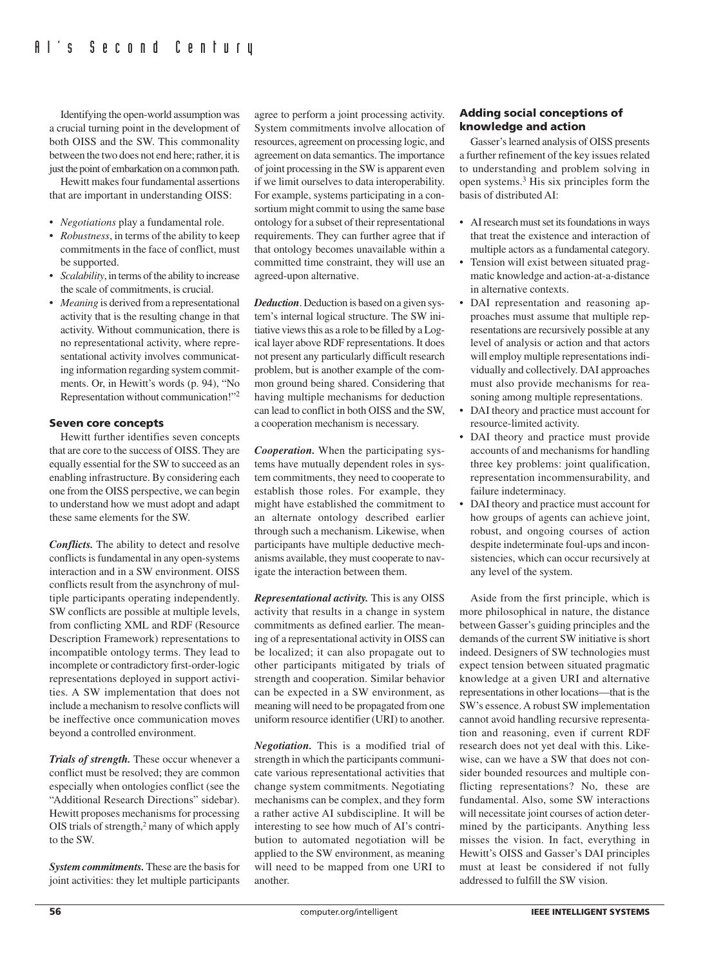Identifying the open-world assumption was a crucial turning point in the development of both OISS and the SW. This commonality between the two does not end here; rather, it is just the point of embarkation on a common path.

Hewitt makes four fundamental assertions that are important in understanding OISS:

- *Negotiations* play a fundamental role.
- *Robustness*, in terms of the ability to keep commitments in the face of conflict, must be supported.
- *Scalability*, in terms of the ability to increase the scale of commitments, is crucial.
- *Meaning* is derived from a representational activity that is the resulting change in that activity. Without communication, there is no representational activity, where representational activity involves communicating information regarding system commitments. Or, in Hewitt's words (p. 94), "No Representation without communication!"2

#### **Seven core concepts**

Hewitt further identifies seven concepts that are core to the success of OISS. They are equally essential for the SW to succeed as an enabling infrastructure. By considering each one from the OISS perspective, we can begin to understand how we must adopt and adapt these same elements for the SW.

*Conflicts.* The ability to detect and resolve conflicts is fundamental in any open-systems interaction and in a SW environment. OISS conflicts result from the asynchrony of multiple participants operating independently. SW conflicts are possible at multiple levels, from conflicting XML and RDF (Resource Description Framework) representations to incompatible ontology terms. They lead to incomplete or contradictory first-order-logic representations deployed in support activities. A SW implementation that does not include a mechanism to resolve conflicts will be ineffective once communication moves beyond a controlled environment.

*Trials of strength.* These occur whenever a conflict must be resolved; they are common especially when ontologies conflict (see the "Additional Research Directions" sidebar). Hewitt proposes mechanisms for processing OIS trials of strength,2 many of which apply to the SW.

*System commitments.* These are the basis for joint activities: they let multiple participants agree to perform a joint processing activity. System commitments involve allocation of resources, agreement on processing logic, and agreement on data semantics. The importance of joint processing in the SW is apparent even if we limit ourselves to data interoperability. For example, systems participating in a consortium might commit to using the same base ontology for a subset of their representational requirements. They can further agree that if that ontology becomes unavailable within a committed time constraint, they will use an agreed-upon alternative.

*Deduction*. Deduction is based on a given system's internal logical structure. The SW initiative views this as a role to be filled by a Logical layer above RDF representations. It does not present any particularly difficult research problem, but is another example of the common ground being shared. Considering that having multiple mechanisms for deduction can lead to conflict in both OISS and the SW, a cooperation mechanism is necessary.

*Cooperation.* When the participating systems have mutually dependent roles in system commitments, they need to cooperate to establish those roles. For example, they might have established the commitment to an alternate ontology described earlier through such a mechanism. Likewise, when participants have multiple deductive mechanisms available, they must cooperate to navigate the interaction between them.

*Representational activity.* This is any OISS activity that results in a change in system commitments as defined earlier. The meaning of a representational activity in OISS can be localized; it can also propagate out to other participants mitigated by trials of strength and cooperation. Similar behavior can be expected in a SW environment, as meaning will need to be propagated from one uniform resource identifier (URI) to another.

*Negotiation.* This is a modified trial of strength in which the participants communicate various representational activities that change system commitments. Negotiating mechanisms can be complex, and they form a rather active AI subdiscipline. It will be interesting to see how much of AI's contribution to automated negotiation will be applied to the SW environment, as meaning will need to be mapped from one URI to another.

#### **Adding social conceptions of knowledge and action**

Gasser's learned analysis of OISS presents a further refinement of the key issues related to understanding and problem solving in open systems.3 His six principles form the basis of distributed AI:

- AI research must set its foundations in ways that treat the existence and interaction of multiple actors as a fundamental category.
- Tension will exist between situated pragmatic knowledge and action-at-a-distance in alternative contexts.
- DAI representation and reasoning approaches must assume that multiple representations are recursively possible at any level of analysis or action and that actors will employ multiple representations individually and collectively. DAI approaches must also provide mechanisms for reasoning among multiple representations.
- DAI theory and practice must account for resource-limited activity.
- DAI theory and practice must provide accounts of and mechanisms for handling three key problems: joint qualification, representation incommensurability, and failure indeterminacy.
- DAI theory and practice must account for how groups of agents can achieve joint, robust, and ongoing courses of action despite indeterminate foul-ups and inconsistencies, which can occur recursively at any level of the system.

Aside from the first principle, which is more philosophical in nature, the distance between Gasser's guiding principles and the demands of the current SW initiative is short indeed. Designers of SW technologies must expect tension between situated pragmatic knowledge at a given URI and alternative representations in other locations—that is the SW's essence. A robust SW implementation cannot avoid handling recursive representation and reasoning, even if current RDF research does not yet deal with this. Likewise, can we have a SW that does not consider bounded resources and multiple conflicting representations? No, these are fundamental. Also, some SW interactions will necessitate joint courses of action determined by the participants. Anything less misses the vision. In fact, everything in Hewitt's OISS and Gasser's DAI principles must at least be considered if not fully addressed to fulfill the SW vision.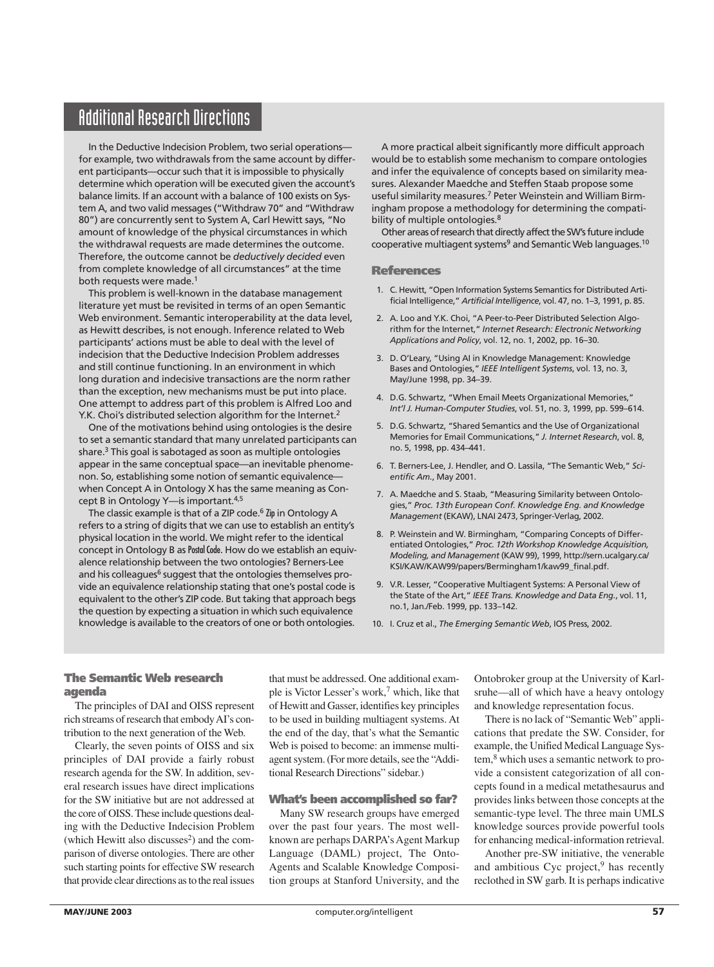## Additional Research Directions

In the Deductive Indecision Problem, two serial operations for example, two withdrawals from the same account by different participants—occur such that it is impossible to physically determine which operation will be executed given the account's balance limits. If an account with a balance of 100 exists on System A, and two valid messages ("Withdraw 70" and "Withdraw 80") are concurrently sent to System A, Carl Hewitt says, "No amount of knowledge of the physical circumstances in which the withdrawal requests are made determines the outcome. Therefore, the outcome cannot be *deductively decided* even from complete knowledge of all circumstances" at the time both requests were made.<sup>1</sup>

This problem is well-known in the database management literature yet must be revisited in terms of an open Semantic Web environment. Semantic interoperability at the data level, as Hewitt describes, is not enough. Inference related to Web participants' actions must be able to deal with the level of indecision that the Deductive Indecision Problem addresses and still continue functioning. In an environment in which long duration and indecisive transactions are the norm rather than the exception, new mechanisms must be put into place. One attempt to address part of this problem is Alfred Loo and Y.K. Choi's distributed selection algorithm for the Internet.<sup>2</sup>

One of the motivations behind using ontologies is the desire to set a semantic standard that many unrelated participants can share.<sup>3</sup> This goal is sabotaged as soon as multiple ontologies appear in the same conceptual space—an inevitable phenomenon. So, establishing some notion of semantic equivalence when Concept A in Ontology X has the same meaning as Concept B in Ontology Y-is important.<sup>4,5</sup>

The classic example is that of a ZIP code.<sup>6</sup> Zip in Ontology A refers to a string of digits that we can use to establish an entity's physical location in the world. We might refer to the identical concept in Ontology B as Postal Code. How do we establish an equivalence relationship between the two ontologies? Berners-Lee and his colleagues<sup>6</sup> suggest that the ontologies themselves provide an equivalence relationship stating that one's postal code is equivalent to the other's ZIP code. But taking that approach begs the question by expecting a situation in which such equivalence knowledge is available to the creators of one or both ontologies.

A more practical albeit significantly more difficult approach would be to establish some mechanism to compare ontologies and infer the equivalence of concepts based on similarity measures. Alexander Maedche and Steffen Staab propose some useful similarity measures.7 Peter Weinstein and William Birmingham propose a methodology for determining the compatibility of multiple ontologies.<sup>8</sup>

Other areas of research that directly affect the SW's future include  $cooperative$  multiagent systems $9$  and Semantic Web languages.<sup>10</sup>

#### **References**

- 1. C. Hewitt, "Open Information Systems Semantics for Distributed Artificial Intelligence," *Artificial Intelligence*, vol. 47, no. 1–3, 1991, p. 85.
- 2. A. Loo and Y.K. Choi, "A Peer-to-Peer Distributed Selection Algorithm for the Internet," *Internet Research: Electronic Networking Applications and Policy*, vol. 12, no. 1, 2002, pp. 16–30.
- 3. D. O'Leary, "Using AI in Knowledge Management: Knowledge Bases and Ontologies," *IEEE Intelligent Systems*, vol. 13, no. 3, May/June 1998, pp. 34–39.
- 4. D.G. Schwartz, "When Email Meets Organizational Memories," *Int'l J. Human-Computer Studies*, vol. 51, no. 3, 1999, pp. 599–614.
- 5. D.G. Schwartz, "Shared Semantics and the Use of Organizational Memories for Email Communications," *J. Internet Research*, vol. 8, no. 5, 1998, pp. 434–441.
- 6. T. Berners-Lee, J. Hendler, and O. Lassila, "The Semantic Web," *Scientific Am.*, May 2001.
- 7. A. Maedche and S. Staab, "Measuring Similarity between Ontologies," *Proc. 13th European Conf. Knowledge Eng. and Knowledge Management* (EKAW), LNAI 2473, Springer-Verlag, 2002.
- 8. P. Weinstein and W. Birmingham, "Comparing Concepts of Differentiated Ontologies," *Proc. 12th Workshop Knowledge Acquisition, Modeling, and Management* (KAW 99), 1999, http://sern.ucalgary.ca/ KSI/KAW/KAW99/papers/Bermingham1/kaw99\_final.pdf.
- 9. V.R. Lesser, "Cooperative Multiagent Systems: A Personal View of the State of the Art," *IEEE Trans. Knowledge and Data Eng.*, vol. 11, no.1, Jan./Feb. 1999, pp. 133–142.
- 10. I. Cruz et al., *The Emerging Semantic Web*, IOS Press, 2002.

### **The Semantic Web research agenda**

The principles of DAI and OISS represent rich streams of research that embody AI's contribution to the next generation of the Web.

Clearly, the seven points of OISS and six principles of DAI provide a fairly robust research agenda for the SW. In addition, several research issues have direct implications for the SW initiative but are not addressed at the core of OISS. These include questions dealing with the Deductive Indecision Problem (which Hewitt also discusses<sup>2</sup>) and the comparison of diverse ontologies. There are other such starting points for effective SW research that provide clear directions as to the real issues

that must be addressed. One additional example is Victor Lesser's work,<sup>7</sup> which, like that of Hewitt and Gasser, identifies key principles to be used in building multiagent systems. At the end of the day, that's what the Semantic Web is poised to become: an immense multiagent system. (For more details, see the "Additional Research Directions" sidebar.)

#### **What's been accomplished so far?**

Many SW research groups have emerged over the past four years. The most wellknown are perhaps DARPA's Agent Markup Language (DAML) project, The Onto-Agents and Scalable Knowledge Composition groups at Stanford University, and the

Ontobroker group at the University of Karlsruhe—all of which have a heavy ontology and knowledge representation focus.

There is no lack of "Semantic Web" applications that predate the SW. Consider, for example, the Unified Medical Language System,<sup>8</sup> which uses a semantic network to provide a consistent categorization of all concepts found in a medical metathesaurus and provides links between those concepts at the semantic-type level. The three main UMLS knowledge sources provide powerful tools for enhancing medical-information retrieval.

Another pre-SW initiative, the venerable and ambitious Cyc project,<sup>9</sup> has recently reclothed in SW garb. It is perhaps indicative